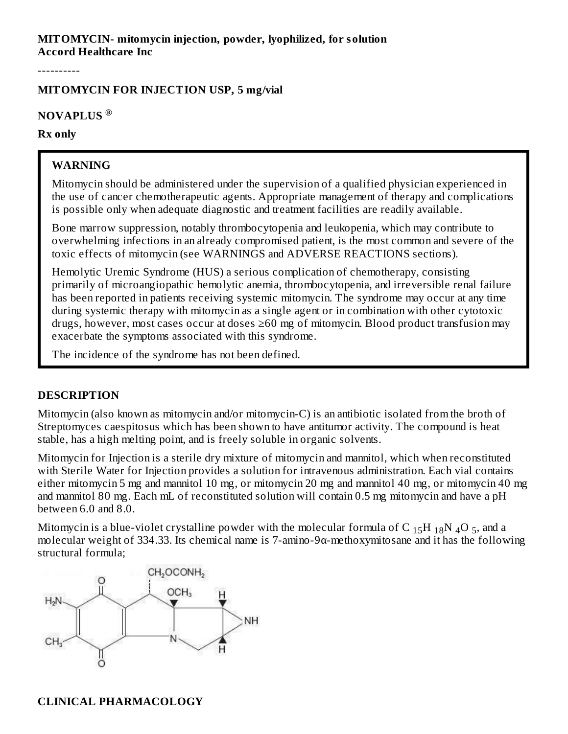#### **MITOMYCIN- mitomycin injection, powder, lyophilized, for solution Accord Healthcare Inc**

----------

#### **MITOMYCIN FOR INJECTION USP, 5 mg/vial**

#### **NOVAPLUS ®**

#### **Rx only**

#### **WARNING**

Mitomycin should be administered under the supervision of a qualified physician experienced in the use of cancer chemotherapeutic agents. Appropriate management of therapy and complications is possible only when adequate diagnostic and treatment facilities are readily available.

Bone marrow suppression, notably thrombocytopenia and leukopenia, which may contribute to overwhelming infections in an already compromised patient, is the most common and severe of the toxic effects of mitomycin (see WARNINGS and ADVERSE REACTIONS sections).

Hemolytic Uremic Syndrome (HUS) a serious complication of chemotherapy, consisting primarily of microangiopathic hemolytic anemia, thrombocytopenia, and irreversible renal failure has been reported in patients receiving systemic mitomycin. The syndrome may occur at any time during systemic therapy with mitomycin as a single agent or in combination with other cytotoxic drugs, however, most cases occur at doses ≥60 mg of mitomycin. Blood product transfusion may exacerbate the symptoms associated with this syndrome.

The incidence of the syndrome has not been defined.

#### **DESCRIPTION**

Mitomycin (also known as mitomycin and/or mitomycin-C) is an antibiotic isolated from the broth of Streptomyces caespitosus which has been shown to have antitumor activity. The compound is heat stable, has a high melting point, and is freely soluble in organic solvents.

Mitomycin for Injection is a sterile dry mixture of mitomycin and mannitol, which when reconstituted with Sterile Water for Injection provides a solution for intravenous administration. Each vial contains either mitomycin 5 mg and mannitol 10 mg, or mitomycin 20 mg and mannitol 40 mg, or mitomycin 40 mg and mannitol 80 mg. Each mL of reconstituted solution will contain 0.5 mg mitomycin and have a pH between 6.0 and 8.0.

Mitomycin is a blue-violet crystalline powder with the molecular formula of C  $_{15}$ H  $_{18}$ N  $_{4}$ O  $_{5}$ , and a molecular weight of 334.33. Its chemical name is 7-amino-9 $\alpha$ -methoxymitosane and it has the following structural formula;

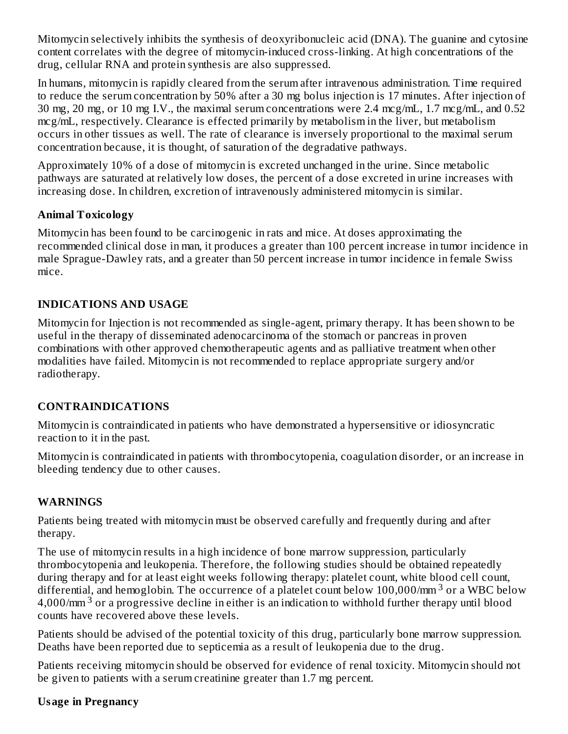Mitomycin selectively inhibits the synthesis of deoxyribonucleic acid (DNA). The guanine and cytosine content correlates with the degree of mitomycin-induced cross-linking. At high concentrations of the drug, cellular RNA and protein synthesis are also suppressed.

In humans, mitomycin is rapidly cleared from the serum after intravenous administration. Time required to reduce the serum concentration by 50% after a 30 mg bolus injection is 17 minutes. After injection of 30 mg, 20 mg, or 10 mg I.V., the maximal serum concentrations were 2.4 mcg/mL, 1.7 mcg/mL, and 0.52 mcg/mL, respectively. Clearance is effected primarily by metabolism in the liver, but metabolism occurs in other tissues as well. The rate of clearance is inversely proportional to the maximal serum concentration because, it is thought, of saturation of the degradative pathways.

Approximately 10% of a dose of mitomycin is excreted unchanged in the urine. Since metabolic pathways are saturated at relatively low doses, the percent of a dose excreted in urine increases with increasing dose. In children, excretion of intravenously administered mitomycin is similar.

#### **Animal Toxicology**

Mitomycin has been found to be carcinogenic in rats and mice. At doses approximating the recommended clinical dose in man, it produces a greater than 100 percent increase in tumor incidence in male Sprague-Dawley rats, and a greater than 50 percent increase in tumor incidence in female Swiss mice.

## **INDICATIONS AND USAGE**

Mitomycin for Injection is not recommended as single-agent, primary therapy. It has been shown to be useful in the therapy of disseminated adenocarcinoma of the stomach or pancreas in proven combinations with other approved chemotherapeutic agents and as palliative treatment when other modalities have failed. Mitomycin is not recommended to replace appropriate surgery and/or radiotherapy.

## **CONTRAINDICATIONS**

Mitomycin is contraindicated in patients who have demonstrated a hypersensitive or idiosyncratic reaction to it in the past.

Mitomycin is contraindicated in patients with thrombocytopenia, coagulation disorder, or an increase in bleeding tendency due to other causes.

## **WARNINGS**

Patients being treated with mitomycin must be observed carefully and frequently during and after therapy.

The use of mitomycin results in a high incidence of bone marrow suppression, particularly thrombocytopenia and leukopenia. Therefore, the following studies should be obtained repeatedly during therapy and for at least eight weeks following therapy: platelet count, white blood cell count, differential, and hemoglobin. The occurrence of a platelet count below  $100,000/\text{mm}^3$  or a WBC below 4,000/mm<sup>3</sup> or a progressive decline in either is an indication to withhold further therapy until blood counts have recovered above these levels.

Patients should be advised of the potential toxicity of this drug, particularly bone marrow suppression. Deaths have been reported due to septicemia as a result of leukopenia due to the drug.

Patients receiving mitomycin should be observed for evidence of renal toxicity. Mitomycin should not be given to patients with a serum creatinine greater than 1.7 mg percent.

#### **Usage in Pregnancy**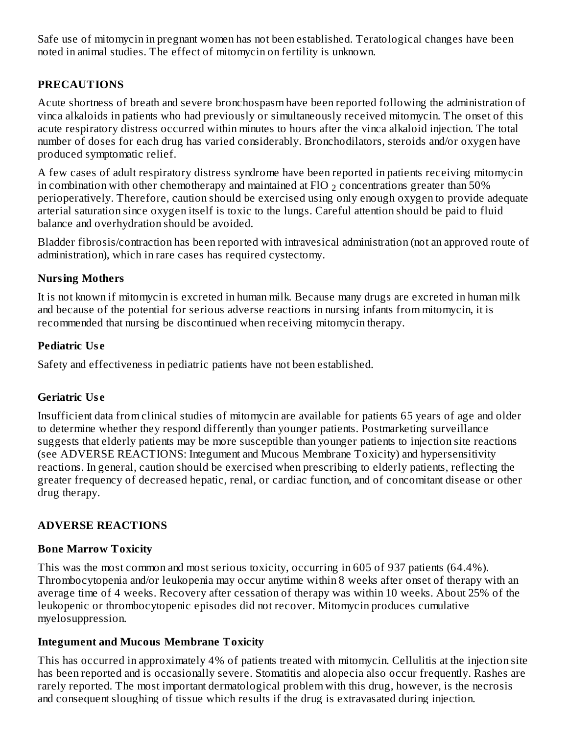Safe use of mitomycin in pregnant women has not been established. Teratological changes have been noted in animal studies. The effect of mitomycin on fertility is unknown.

## **PRECAUTIONS**

Acute shortness of breath and severe bronchospasm have been reported following the administration of vinca alkaloids in patients who had previously or simultaneously received mitomycin. The onset of this acute respiratory distress occurred within minutes to hours after the vinca alkaloid injection. The total number of doses for each drug has varied considerably. Bronchodilators, steroids and/or oxygen have produced symptomatic relief.

A few cases of adult respiratory distress syndrome have been reported in patients receiving mitomycin in combination with other chemotherapy and maintained at FlO  $_2$  concentrations greater than 50% perioperatively. Therefore, caution should be exercised using only enough oxygen to provide adequate arterial saturation since oxygen itself is toxic to the lungs. Careful attention should be paid to fluid balance and overhydration should be avoided.

Bladder fibrosis/contraction has been reported with intravesical administration (not an approved route of administration), which in rare cases has required cystectomy.

#### **Nursing Mothers**

It is not known if mitomycin is excreted in human milk. Because many drugs are excreted in human milk and because of the potential for serious adverse reactions in nursing infants from mitomycin, it is recommended that nursing be discontinued when receiving mitomycin therapy.

## **Pediatric Us e**

Safety and effectiveness in pediatric patients have not been established.

## **Geriatric Us e**

Insufficient data from clinical studies of mitomycin are available for patients 65 years of age and older to determine whether they respond differently than younger patients. Postmarketing surveillance suggests that elderly patients may be more susceptible than younger patients to injection site reactions (see ADVERSE REACTIONS: Integument and Mucous Membrane Toxicity) and hypersensitivity reactions. In general, caution should be exercised when prescribing to elderly patients, reflecting the greater frequency of decreased hepatic, renal, or cardiac function, and of concomitant disease or other drug therapy.

# **ADVERSE REACTIONS**

## **Bone Marrow Toxicity**

This was the most common and most serious toxicity, occurring in 605 of 937 patients (64.4%). Thrombocytopenia and/or leukopenia may occur anytime within 8 weeks after onset of therapy with an average time of 4 weeks. Recovery after cessation of therapy was within 10 weeks. About 25% of the leukopenic or thrombocytopenic episodes did not recover. Mitomycin produces cumulative myelosuppression.

## **Integument and Mucous Membrane Toxicity**

This has occurred in approximately 4% of patients treated with mitomycin. Cellulitis at the injection site has been reported and is occasionally severe. Stomatitis and alopecia also occur frequently. Rashes are rarely reported. The most important dermatological problem with this drug, however, is the necrosis and consequent sloughing of tissue which results if the drug is extravasated during injection.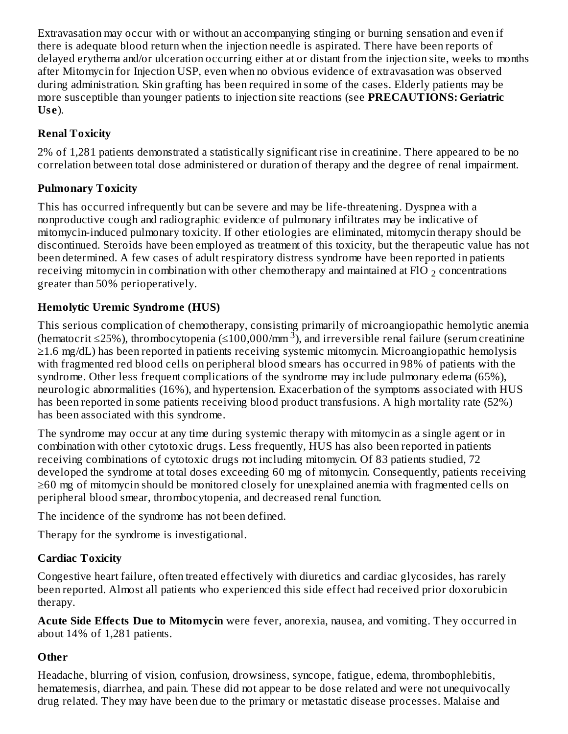Extravasation may occur with or without an accompanying stinging or burning sensation and even if there is adequate blood return when the injection needle is aspirated. There have been reports of delayed erythema and/or ulceration occurring either at or distant from the injection site, weeks to months after Mitomycin for Injection USP, even when no obvious evidence of extravasation was observed during administration. Skin grafting has been required in some of the cases. Elderly patients may be more susceptible than younger patients to injection site reactions (see **PRECAUTIONS: Geriatric Us e**).

# **Renal Toxicity**

2% of 1,281 patients demonstrated a statistically significant rise in creatinine. There appeared to be no correlation between total dose administered or duration of therapy and the degree of renal impairment.

# **Pulmonary Toxicity**

This has occurred infrequently but can be severe and may be life-threatening. Dyspnea with a nonproductive cough and radiographic evidence of pulmonary infiltrates may be indicative of mitomycin-induced pulmonary toxicity. If other etiologies are eliminated, mitomycin therapy should be discontinued. Steroids have been employed as treatment of this toxicity, but the therapeutic value has not been determined. A few cases of adult respiratory distress syndrome have been reported in patients receiving mitomycin in combination with other chemotherapy and maintained at FlO  $_2$  concentrations greater than 50% perioperatively.

# **Hemolytic Uremic Syndrome (HUS)**

This serious complication of chemotherapy, consisting primarily of microangiopathic hemolytic anemia (hematocrit ≤25%), thrombocytopenia (≤100,000/mm <sup>3</sup>), and irreversible renal failure (serum creatinine ≥1.6 mg/dL) has been reported in patients receiving systemic mitomycin. Microangiopathic hemolysis with fragmented red blood cells on peripheral blood smears has occurred in 98% of patients with the syndrome. Other less frequent complications of the syndrome may include pulmonary edema (65%), neurologic abnormalities (16%), and hypertension. Exacerbation of the symptoms associated with HUS has been reported in some patients receiving blood product transfusions. A high mortality rate (52%) has been associated with this syndrome.

The syndrome may occur at any time during systemic therapy with mitomycin as a single agent or in combination with other cytotoxic drugs. Less frequently, HUS has also been reported in patients receiving combinations of cytotoxic drugs not including mitomycin. Of 83 patients studied, 72 developed the syndrome at total doses exceeding 60 mg of mitomycin. Consequently, patients receiving ≥60 mg of mitomycin should be monitored closely for unexplained anemia with fragmented cells on peripheral blood smear, thrombocytopenia, and decreased renal function.

The incidence of the syndrome has not been defined.

Therapy for the syndrome is investigational.

# **Cardiac Toxicity**

Congestive heart failure, often treated effectively with diuretics and cardiac glycosides, has rarely been reported. Almost all patients who experienced this side effect had received prior doxorubicin therapy.

**Acute Side Effects Due to Mitomycin** were fever, anorexia, nausea, and vomiting. They occurred in about 14% of 1,281 patients.

## **Other**

Headache, blurring of vision, confusion, drowsiness, syncope, fatigue, edema, thrombophlebitis, hematemesis, diarrhea, and pain. These did not appear to be dose related and were not unequivocally drug related. They may have been due to the primary or metastatic disease processes. Malaise and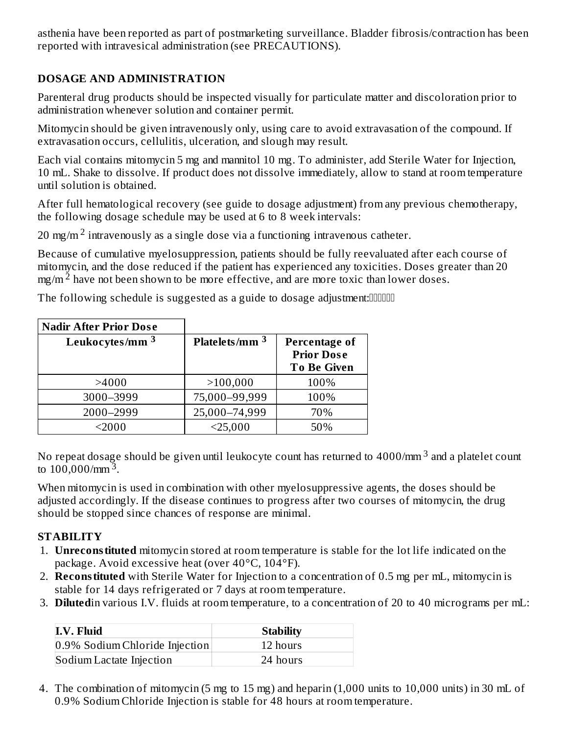asthenia have been reported as part of postmarketing surveillance. Bladder fibrosis/contraction has been reported with intravesical administration (see PRECAUTIONS).

# **DOSAGE AND ADMINISTRATION**

Parenteral drug products should be inspected visually for particulate matter and discoloration prior to administration whenever solution and container permit.

Mitomycin should be given intravenously only, using care to avoid extravasation of the compound. If extravasation occurs, cellulitis, ulceration, and slough may result.

Each vial contains mitomycin 5 mg and mannitol 10 mg. To administer, add Sterile Water for Injection, 10 mL. Shake to dissolve. If product does not dissolve immediately, allow to stand at room temperature until solution is obtained.

After full hematological recovery (see guide to dosage adjustment) from any previous chemotherapy, the following dosage schedule may be used at 6 to 8 week intervals:

20 mg/m<sup>2</sup> intravenously as a single dose via a functioning intravenous catheter.

Because of cumulative myelosuppression, patients should be fully reevaluated after each course of mitomycin, and the dose reduced if the patient has experienced any toxicities. Doses greater than 20  $mg/m<sup>2</sup>$  have not been shown to be more effective, and are more toxic than lower doses.

The following schedule is suggested as a guide to dosage adjustment:

| <b>Nadir After Prior Dose</b> |                  |                                                                 |
|-------------------------------|------------------|-----------------------------------------------------------------|
| Leukocytes/mm <sup>3</sup>    | Platelets/mm $3$ | <b>Percentage of</b><br><b>Prior Dose</b><br><b>To Be Given</b> |
| >4000                         | >100,000         | 100%                                                            |
| 3000-3999                     | 75,000-99,999    | 100%                                                            |
| 2000-2999                     | 25,000-74,999    | 70%                                                             |
| $2000$                        | $<$ 25,000       | 50%                                                             |

No repeat dosage should be given until leukocyte count has returned to 4000/mm  $^3$  and a platelet count to  $100,000/\text{mm}^3$ .

When mitomycin is used in combination with other myelosuppressive agents, the doses should be adjusted accordingly. If the disease continues to progress after two courses of mitomycin, the drug should be stopped since chances of response are minimal.

## **STABILITY**

- 1. **Unreconstituted** mitomycin stored at room temperature is stable for the lot life indicated on the package. Avoid excessive heat (over 40°C, 104°F).
- 2. **Reconstituted** with Sterile Water for Injection to a concentration of 0.5 mg per mL, mitomycin is stable for 14 days refrigerated or 7 days at room temperature.
- 3. **Diluted**in various I.V. fluids at room temperature, to a concentration of 20 to 40 micrograms per mL:

| <b>I.V. Fluid</b>              | <b>Stability</b> |
|--------------------------------|------------------|
| 0.9% Sodium Chloride Injection | 12 hours         |
| Sodium Lactate Injection       | 24 hours         |

4. The combination of mitomycin (5 mg to 15 mg) and heparin (1,000 units to 10,000 units) in 30 mL of 0.9% Sodium Chloride Injection is stable for 48 hours at room temperature.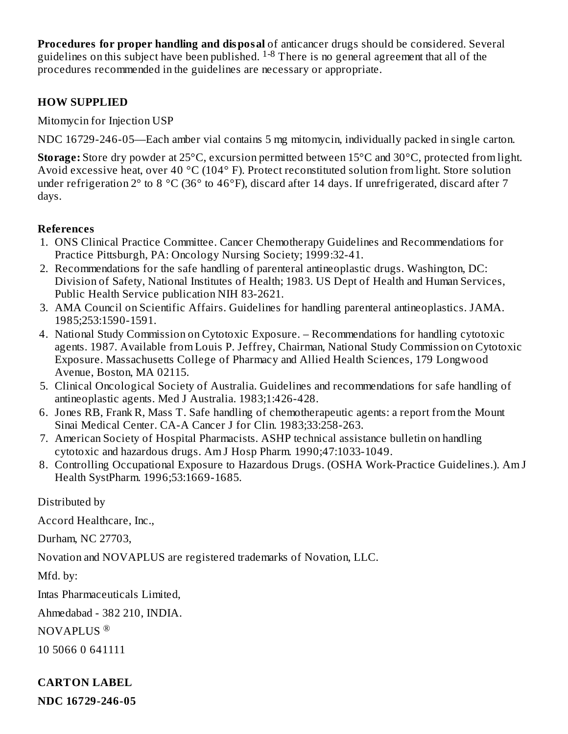**Procedures for proper handling and disposal** of anticancer drugs should be considered. Several guidelines on this subject have been published.  $1-8$  There is no general agreement that all of the procedures recommended in the guidelines are necessary or appropriate.

#### **HOW SUPPLIED**

Mitomycin for Injection USP

NDC 16729-246-05—Each amber vial contains 5 mg mitomycin, individually packed in single carton.

**Storage:** Store dry powder at 25°C, excursion permitted between 15°C and 30°C, protected from light. Avoid excessive heat, over 40 °C (104° F). Protect reconstituted solution from light. Store solution under refrigeration  $2^{\circ}$  to 8  $^{\circ}$ C (36 $^{\circ}$  to 46 $^{\circ}$ F), discard after 14 days. If unrefrigerated, discard after 7 days.

#### **References**

- 1. ONS Clinical Practice Committee. Cancer Chemotherapy Guidelines and Recommendations for Practice Pittsburgh, PA: Oncology Nursing Society; 1999:32-41.
- 2. Recommendations for the safe handling of parenteral antineoplastic drugs. Washington, DC: Division of Safety, National Institutes of Health; 1983. US Dept of Health and Human Services, Public Health Service publication NIH 83-2621.
- 3. AMA Council on Scientific Affairs. Guidelines for handling parenteral antineoplastics. JAMA. 1985;253:1590-1591.
- 4. National Study Commission on Cytotoxic Exposure. Recommendations for handling cytotoxic agents. 1987. Available from Louis P. Jeffrey, Chairman, National Study Commission on Cytotoxic Exposure. Massachusetts College of Pharmacy and Allied Health Sciences, 179 Longwood Avenue, Boston, MA 02115.
- 5. Clinical Oncological Society of Australia. Guidelines and recommendations for safe handling of antineoplastic agents. Med J Australia. 1983;1:426-428.
- 6. Jones RB, Frank R, Mass T. Safe handling of chemotherapeutic agents: a report from the Mount Sinai Medical Center. CA-A Cancer J for Clin. 1983;33:258-263.
- 7. American Society of Hospital Pharmacists. ASHP technical assistance bulletin on handling cytotoxic and hazardous drugs. Am J Hosp Pharm. 1990;47:1033-1049.
- 8. Controlling Occupational Exposure to Hazardous Drugs. (OSHA Work-Practice Guidelines.). Am J Health SystPharm. 1996;53:1669-1685.

Distributed by

Accord Healthcare, Inc.,

Durham, NC 27703,

Novation and NOVAPLUS are registered trademarks of Novation, LLC.

Mfd. by:

Intas Pharmaceuticals Limited,

Ahmedabad - 382 210, INDIA.

NOVAPLUS ®

10 5066 0 641111

## **CARTON LABEL**

**NDC 16729-246-05**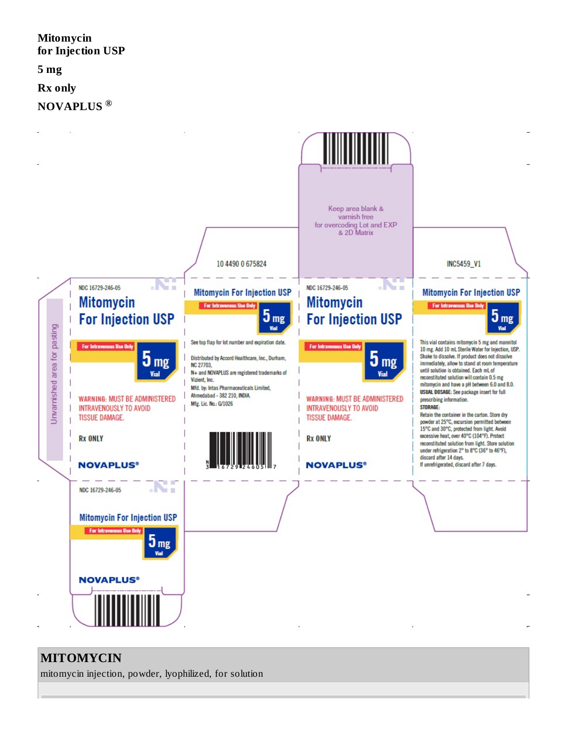# **Mitomycin for Injection USP 5 mg Rx only NOVAPLUS ®**



# **MITOMYCIN**

mitomycin injection, powder, lyophilized, for solution